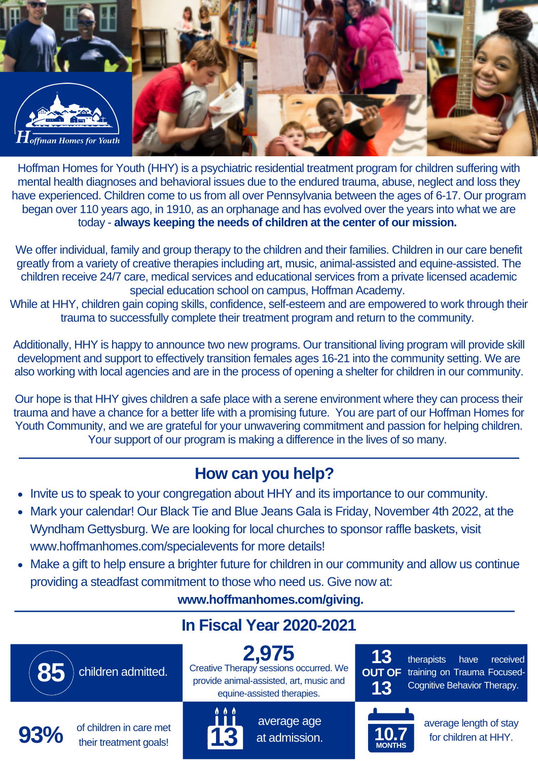

Hoffman Homes for Youth (HHY) is a psychiatric residential treatment program for children suffering with mental health diagnoses and behavioral issues due to the endured trauma, abuse, neglect and loss they have experienced. Children come to us from all over Pennsylvania between the ages of 6-17. Our program began over 110 years ago, in 1910, as an orphanage and has evolved over the years into what we are today - **always keeping the needs of children at the center of our mission.**

We offer individual, family and group therapy to the children and their families. Children in our care benefit greatly from a variety of creative therapies including art, music, animal-assisted and equine-assisted. The children receive 24/7 care, medical services and educational services from a private licensed academic special education school on campus, Hoffman Academy.

While at HHY, children gain coping skills, confidence, self-esteem and are empowered to work through their trauma to successfully complete their treatment program and return to the community.

Additionally, HHY is happy to announce two new programs. Our transitional living program will provide skill development and support to effectively transition females ages 16-21 into the community setting. We are also working with local agencies and are in the process of opening a shelter for children in our community.

Our hope is that HHY gives children a safe place with a serene environment where they can process their trauma and have a chance for a better life with a promising future. You are part of our Hoffman Homes for Youth Community, and we are grateful for your unwavering commitment and passion for helping children. Your support of our program is making a difference in the lives of so many.

### **How can you help?**

- Invite us to speak to your congregation about HHY and its importance to our community.
- Mark your calendar! Our Black Tie and Blue Jeans Gala is Friday, November 4th 2022, at the Wyndham Gettysburg. We are looking for local churches to sponsor raffle baskets, visit www.hoffmanhomes.com/specialevents for more details!
- Make a gift to help ensure a brighter future for children in our community and allow us continue providing a steadfast commitment to those who need us. Give now at:

**www.hoffmanhomes.com/giving.**